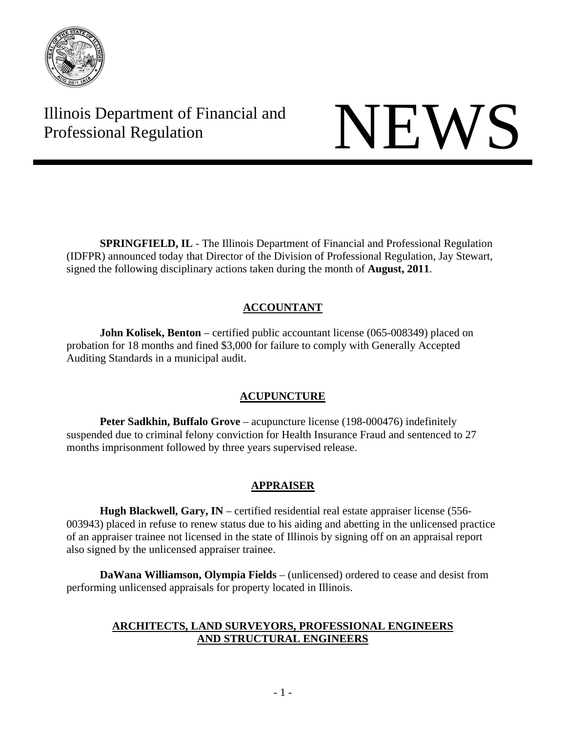

Illinois Department of Financial and Illinois Department of Financial and<br>Professional Regulation

**SPRINGFIELD, IL** - The Illinois Department of Financial and Professional Regulation (IDFPR) announced today that Director of the Division of Professional Regulation, Jay Stewart, signed the following disciplinary actions taken during the month of **August, 2011**.

# **ACCOUNTANT**

**John Kolisek, Benton** – certified public accountant license (065-008349) placed on probation for 18 months and fined \$3,000 for failure to comply with Generally Accepted Auditing Standards in a municipal audit.

# **ACUPUNCTURE**

 **Peter Sadkhin, Buffalo Grove** – acupuncture license (198-000476) indefinitely suspended due to criminal felony conviction for Health Insurance Fraud and sentenced to 27 months imprisonment followed by three years supervised release.

# **APPRAISER**

 **Hugh Blackwell, Gary, IN** – certified residential real estate appraiser license (556- 003943) placed in refuse to renew status due to his aiding and abetting in the unlicensed practice of an appraiser trainee not licensed in the state of Illinois by signing off on an appraisal report also signed by the unlicensed appraiser trainee.

 **DaWana Williamson, Olympia Fields** – (unlicensed) ordered to cease and desist from performing unlicensed appraisals for property located in Illinois.

# **ARCHITECTS, LAND SURVEYORS, PROFESSIONAL ENGINEERS AND STRUCTURAL ENGINEERS**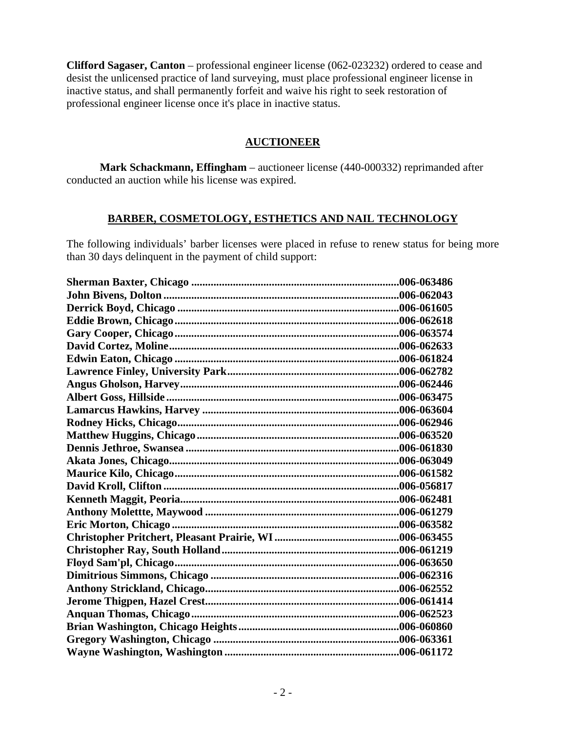**Clifford Sagaser, Canton** – professional engineer license (062-023232) ordered to cease and desist the unlicensed practice of land surveying, must place professional engineer license in inactive status, and shall permanently forfeit and waive his right to seek restoration of professional engineer license once it's place in inactive status.

## **AUCTIONEER**

 **Mark Schackmann, Effingham** – auctioneer license (440-000332) reprimanded after conducted an auction while his license was expired.

## **BARBER, COSMETOLOGY, ESTHETICS AND NAIL TECHNOLOGY**

The following individuals' barber licenses were placed in refuse to renew status for being more than 30 days delinquent in the payment of child support:

| .006-063486 |
|-------------|
|             |
|             |
|             |
|             |
|             |
|             |
|             |
|             |
|             |
|             |
|             |
|             |
|             |
|             |
|             |
|             |
|             |
|             |
|             |
|             |
|             |
|             |
|             |
|             |
|             |
|             |
|             |
|             |
|             |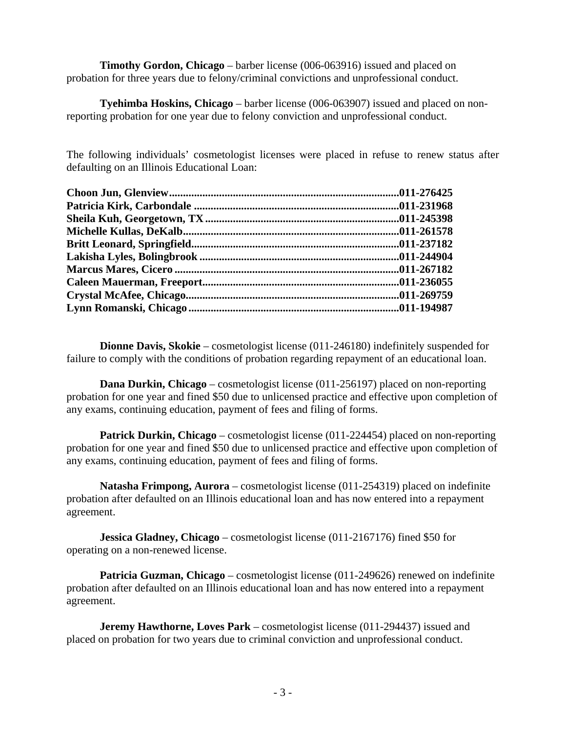**Timothy Gordon, Chicago** – barber license (006-063916) issued and placed on probation for three years due to felony/criminal convictions and unprofessional conduct.

 **Tyehimba Hoskins, Chicago** – barber license (006-063907) issued and placed on nonreporting probation for one year due to felony conviction and unprofessional conduct.

The following individuals' cosmetologist licenses were placed in refuse to renew status after defaulting on an Illinois Educational Loan:

**Dionne Davis, Skokie** – cosmetologist license (011-246180) indefinitely suspended for failure to comply with the conditions of probation regarding repayment of an educational loan.

 **Dana Durkin, Chicago** – cosmetologist license (011-256197) placed on non-reporting probation for one year and fined \$50 due to unlicensed practice and effective upon completion of any exams, continuing education, payment of fees and filing of forms.

**Patrick Durkin, Chicago** – cosmetologist license (011-224454) placed on non-reporting probation for one year and fined \$50 due to unlicensed practice and effective upon completion of any exams, continuing education, payment of fees and filing of forms.

 **Natasha Frimpong, Aurora** – cosmetologist license (011-254319) placed on indefinite probation after defaulted on an Illinois educational loan and has now entered into a repayment agreement.

 **Jessica Gladney, Chicago** – cosmetologist license (011-2167176) fined \$50 for operating on a non-renewed license.

**Patricia Guzman, Chicago** – cosmetologist license (011-249626) renewed on indefinite probation after defaulted on an Illinois educational loan and has now entered into a repayment agreement.

**Jeremy Hawthorne, Loves Park** – cosmetologist license (011-294437) issued and placed on probation for two years due to criminal conviction and unprofessional conduct.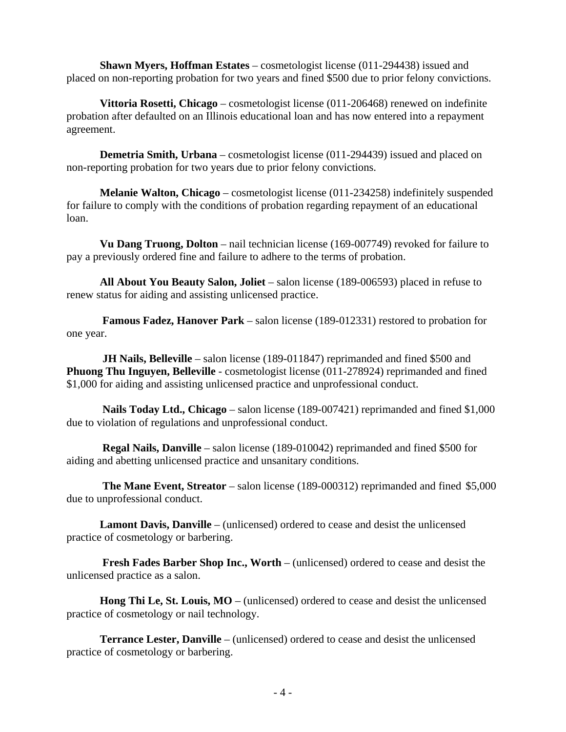**Shawn Myers, Hoffman Estates** – cosmetologist license (011-294438) issued and placed on non-reporting probation for two years and fined \$500 due to prior felony convictions.

 **Vittoria Rosetti, Chicago** – cosmetologist license (011-206468) renewed on indefinite probation after defaulted on an Illinois educational loan and has now entered into a repayment agreement.

 **Demetria Smith, Urbana** – cosmetologist license (011-294439) issued and placed on non-reporting probation for two years due to prior felony convictions.

 **Melanie Walton, Chicago** – cosmetologist license (011-234258) indefinitely suspended for failure to comply with the conditions of probation regarding repayment of an educational loan.

 **Vu Dang Truong, Dolton** – nail technician license (169-007749) revoked for failure to pay a previously ordered fine and failure to adhere to the terms of probation.

 **All About You Beauty Salon, Joliet** – salon license (189-006593) placed in refuse to renew status for aiding and assisting unlicensed practice.

 **Famous Fadez, Hanover Park** – salon license (189-012331) restored to probation for one year.

**JH Nails, Belleville** – salon license (189-011847) reprimanded and fined \$500 and **Phuong Thu Inguyen, Belleville** - cosmetologist license (011-278924) reprimanded and fined \$1,000 for aiding and assisting unlicensed practice and unprofessional conduct.

 **Nails Today Ltd., Chicago** – salon license (189-007421) reprimanded and fined \$1,000 due to violation of regulations and unprofessional conduct.

 **Regal Nails, Danville** – salon license (189-010042) reprimanded and fined \$500 for aiding and abetting unlicensed practice and unsanitary conditions.

 **The Mane Event, Streator** – salon license (189-000312) reprimanded and fined \$5,000 due to unprofessional conduct.

 **Lamont Davis, Danville** – (unlicensed) ordered to cease and desist the unlicensed practice of cosmetology or barbering.

 **Fresh Fades Barber Shop Inc., Worth** – (unlicensed) ordered to cease and desist the unlicensed practice as a salon.

 **Hong Thi Le, St. Louis, MO** – (unlicensed) ordered to cease and desist the unlicensed practice of cosmetology or nail technology.

 **Terrance Lester, Danville** – (unlicensed) ordered to cease and desist the unlicensed practice of cosmetology or barbering.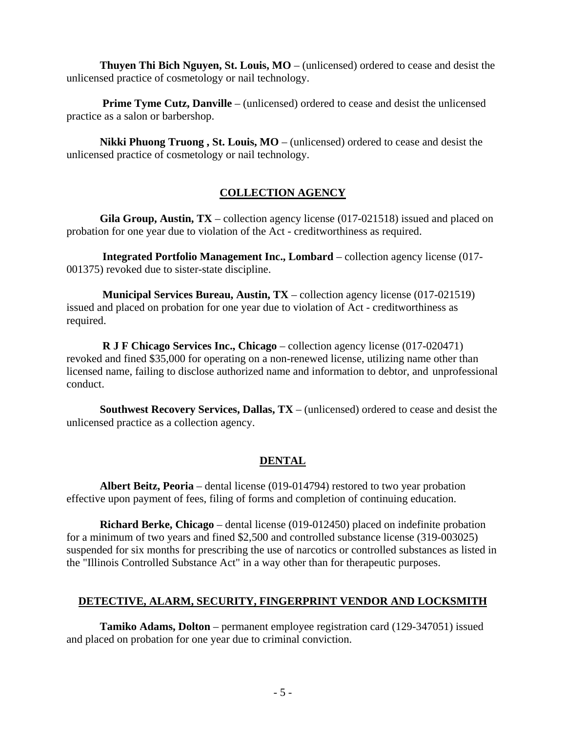**Thuyen Thi Bich Nguyen, St. Louis, MO** – (unlicensed) ordered to cease and desist the unlicensed practice of cosmetology or nail technology.

**Prime Tyme Cutz, Danville** – (unlicensed) ordered to cease and desist the unlicensed practice as a salon or barbershop.

 **Nikki Phuong Truong , St. Louis, MO** – (unlicensed) ordered to cease and desist the unlicensed practice of cosmetology or nail technology.

# **COLLECTION AGENCY**

 **Gila Group, Austin, TX** – collection agency license (017-021518) issued and placed on probation for one year due to violation of the Act - creditworthiness as required.

 **Integrated Portfolio Management Inc., Lombard** – collection agency license (017- 001375) revoked due to sister-state discipline.

 **Municipal Services Bureau, Austin, TX** – collection agency license (017-021519) issued and placed on probation for one year due to violation of Act - creditworthiness as required.

 **R J F Chicago Services Inc., Chicago** – collection agency license (017-020471) revoked and fined \$35,000 for operating on a non-renewed license, utilizing name other than licensed name, failing to disclose authorized name and information to debtor, and unprofessional conduct.

 **Southwest Recovery Services, Dallas, TX** – (unlicensed) ordered to cease and desist the unlicensed practice as a collection agency.

# **DENTAL**

 **Albert Beitz, Peoria** – dental license (019-014794) restored to two year probation effective upon payment of fees, filing of forms and completion of continuing education.

 **Richard Berke, Chicago** – dental license (019-012450) placed on indefinite probation for a minimum of two years and fined \$2,500 and controlled substance license (319-003025) suspended for six months for prescribing the use of narcotics or controlled substances as listed in the "Illinois Controlled Substance Act" in a way other than for therapeutic purposes.

# **DETECTIVE, ALARM, SECURITY, FINGERPRINT VENDOR AND LOCKSMITH**

 **Tamiko Adams, Dolton** – permanent employee registration card (129-347051) issued and placed on probation for one year due to criminal conviction.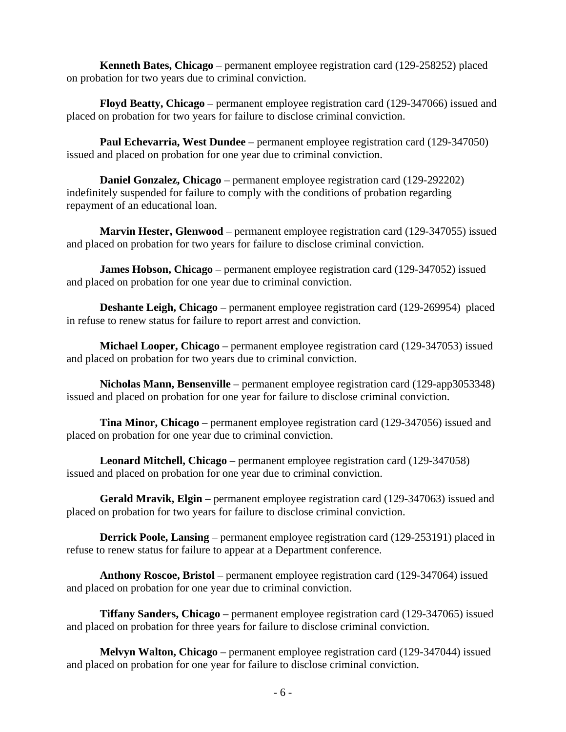**Kenneth Bates, Chicago** – permanent employee registration card (129-258252) placed on probation for two years due to criminal conviction.

 **Floyd Beatty, Chicago** – permanent employee registration card (129-347066) issued and placed on probation for two years for failure to disclose criminal conviction.

 **Paul Echevarria, West Dundee** – permanent employee registration card (129-347050) issued and placed on probation for one year due to criminal conviction.

 **Daniel Gonzalez, Chicago** – permanent employee registration card (129-292202) indefinitely suspended for failure to comply with the conditions of probation regarding repayment of an educational loan.

 **Marvin Hester, Glenwood** – permanent employee registration card (129-347055) issued and placed on probation for two years for failure to disclose criminal conviction.

**James Hobson, Chicago** – permanent employee registration card (129-347052) issued and placed on probation for one year due to criminal conviction.

 **Deshante Leigh, Chicago** – permanent employee registration card (129-269954) placed in refuse to renew status for failure to report arrest and conviction.

 **Michael Looper, Chicago** – permanent employee registration card (129-347053) issued and placed on probation for two years due to criminal conviction.

 **Nicholas Mann, Bensenville** – permanent employee registration card (129-app3053348) issued and placed on probation for one year for failure to disclose criminal conviction.

 **Tina Minor, Chicago** – permanent employee registration card (129-347056) issued and placed on probation for one year due to criminal conviction.

 **Leonard Mitchell, Chicago** – permanent employee registration card (129-347058) issued and placed on probation for one year due to criminal conviction.

 **Gerald Mravik, Elgin** – permanent employee registration card (129-347063) issued and placed on probation for two years for failure to disclose criminal conviction.

**Derrick Poole, Lansing** – permanent employee registration card (129-253191) placed in refuse to renew status for failure to appear at a Department conference.

 **Anthony Roscoe, Bristol** – permanent employee registration card (129-347064) issued and placed on probation for one year due to criminal conviction.

 **Tiffany Sanders, Chicago** – permanent employee registration card (129-347065) issued and placed on probation for three years for failure to disclose criminal conviction.

 **Melvyn Walton, Chicago** – permanent employee registration card (129-347044) issued and placed on probation for one year for failure to disclose criminal conviction.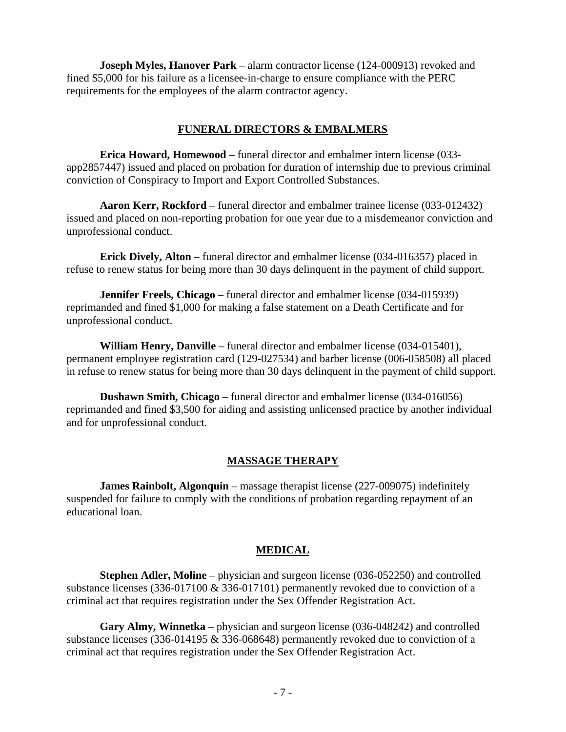**Joseph Myles, Hanover Park** – alarm contractor license (124-000913) revoked and fined \$5,000 for his failure as a licensee-in-charge to ensure compliance with the PERC requirements for the employees of the alarm contractor agency.

## **FUNERAL DIRECTORS & EMBALMERS**

 **Erica Howard, Homewood** – funeral director and embalmer intern license (033 app2857447) issued and placed on probation for duration of internship due to previous criminal conviction of Conspiracy to Import and Export Controlled Substances.

 **Aaron Kerr, Rockford** – funeral director and embalmer trainee license (033-012432) issued and placed on non-reporting probation for one year due to a misdemeanor conviction and unprofessional conduct.

 **Erick Dively, Alton** – funeral director and embalmer license (034-016357) placed in refuse to renew status for being more than 30 days delinquent in the payment of child support.

 **Jennifer Freels, Chicago** – funeral director and embalmer license (034-015939) reprimanded and fined \$1,000 for making a false statement on a Death Certificate and for unprofessional conduct.

 **William Henry, Danville** – funeral director and embalmer license (034-015401), permanent employee registration card (129-027534) and barber license (006-058508) all placed in refuse to renew status for being more than 30 days delinquent in the payment of child support.

 **Dushawn Smith, Chicago** – funeral director and embalmer license (034-016056) reprimanded and fined \$3,500 for aiding and assisting unlicensed practice by another individual and for unprofessional conduct.

### **MASSAGE THERAPY**

 **James Rainbolt, Algonquin** – massage therapist license (227-009075) indefinitely suspended for failure to comply with the conditions of probation regarding repayment of an educational loan.

### **MEDICAL**

 **Stephen Adler, Moline** – physician and surgeon license (036-052250) and controlled substance licenses (336-017100 & 336-017101) permanently revoked due to conviction of a criminal act that requires registration under the Sex Offender Registration Act.

 **Gary Almy, Winnetka** – physician and surgeon license (036-048242) and controlled substance licenses (336-014195 & 336-068648) permanently revoked due to conviction of a criminal act that requires registration under the Sex Offender Registration Act.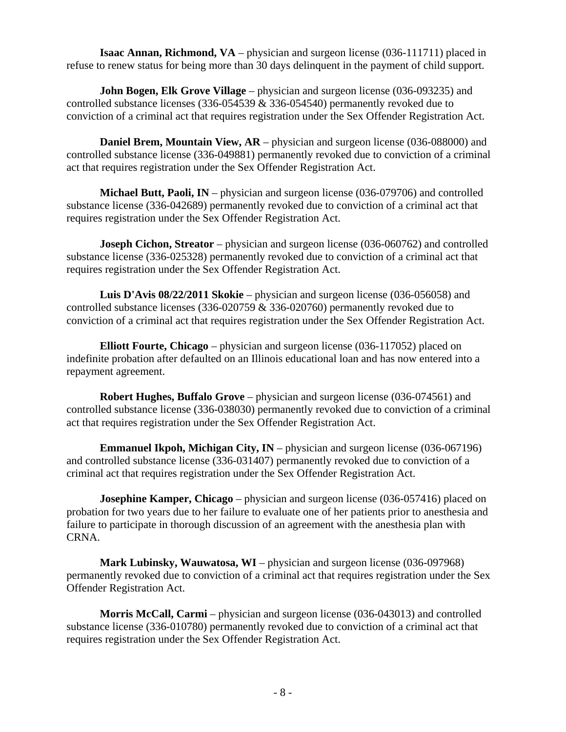**Isaac Annan, Richmond, VA** – physician and surgeon license (036-111711) placed in refuse to renew status for being more than 30 days delinquent in the payment of child support.

**John Bogen, Elk Grove Village** – physician and surgeon license (036-093235) and controlled substance licenses (336-054539 & 336-054540) permanently revoked due to conviction of a criminal act that requires registration under the Sex Offender Registration Act.

**Daniel Brem, Mountain View, AR** – physician and surgeon license (036-088000) and controlled substance license (336-049881) permanently revoked due to conviction of a criminal act that requires registration under the Sex Offender Registration Act.

 **Michael Butt, Paoli, IN** – physician and surgeon license (036-079706) and controlled substance license (336-042689) permanently revoked due to conviction of a criminal act that requires registration under the Sex Offender Registration Act.

**Joseph Cichon, Streator** – physician and surgeon license (036-060762) and controlled substance license (336-025328) permanently revoked due to conviction of a criminal act that requires registration under the Sex Offender Registration Act.

 **Luis D'Avis 08/22/2011 Skokie** – physician and surgeon license (036-056058) and controlled substance licenses (336-020759 & 336-020760) permanently revoked due to conviction of a criminal act that requires registration under the Sex Offender Registration Act.

 **Elliott Fourte, Chicago** – physician and surgeon license (036-117052) placed on indefinite probation after defaulted on an Illinois educational loan and has now entered into a repayment agreement.

 **Robert Hughes, Buffalo Grove** – physician and surgeon license (036-074561) and controlled substance license (336-038030) permanently revoked due to conviction of a criminal act that requires registration under the Sex Offender Registration Act.

**Emmanuel Ikpoh, Michigan City, IN** – physician and surgeon license (036-067196) and controlled substance license (336-031407) permanently revoked due to conviction of a criminal act that requires registration under the Sex Offender Registration Act.

**Josephine Kamper, Chicago** – physician and surgeon license (036-057416) placed on probation for two years due to her failure to evaluate one of her patients prior to anesthesia and failure to participate in thorough discussion of an agreement with the anesthesia plan with CRNA.

 **Mark Lubinsky, Wauwatosa, WI** – physician and surgeon license (036-097968) permanently revoked due to conviction of a criminal act that requires registration under the Sex Offender Registration Act.

 **Morris McCall, Carmi** – physician and surgeon license (036-043013) and controlled substance license (336-010780) permanently revoked due to conviction of a criminal act that requires registration under the Sex Offender Registration Act.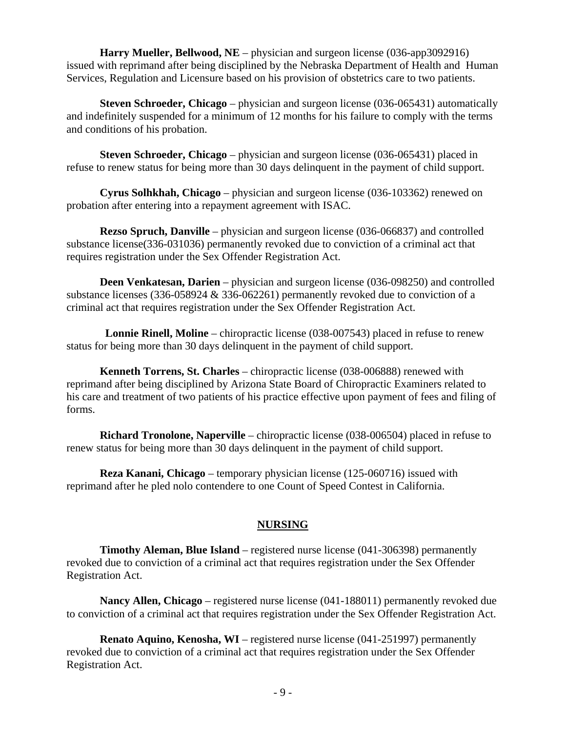**Harry Mueller, Bellwood, NE** – physician and surgeon license (036-app3092916) issued with reprimand after being disciplined by the Nebraska Department of Health and Human Services, Regulation and Licensure based on his provision of obstetrics care to two patients.

 **Steven Schroeder, Chicago** – physician and surgeon license (036-065431) automatically and indefinitely suspended for a minimum of 12 months for his failure to comply with the terms and conditions of his probation.

 **Steven Schroeder, Chicago** – physician and surgeon license (036-065431) placed in refuse to renew status for being more than 30 days delinquent in the payment of child support.

 **Cyrus Solhkhah, Chicago** – physician and surgeon license (036-103362) renewed on probation after entering into a repayment agreement with ISAC.

 **Rezso Spruch, Danville** – physician and surgeon license (036-066837) and controlled substance license(336-031036) permanently revoked due to conviction of a criminal act that requires registration under the Sex Offender Registration Act.

 **Deen Venkatesan, Darien** – physician and surgeon license (036-098250) and controlled substance licenses (336-058924 & 336-062261) permanently revoked due to conviction of a criminal act that requires registration under the Sex Offender Registration Act.

**Lonnie Rinell, Moline** – chiropractic license (038-007543) placed in refuse to renew status for being more than 30 days delinquent in the payment of child support.

 **Kenneth Torrens, St. Charles** – chiropractic license (038-006888) renewed with reprimand after being disciplined by Arizona State Board of Chiropractic Examiners related to his care and treatment of two patients of his practice effective upon payment of fees and filing of forms.

 **Richard Tronolone, Naperville** – chiropractic license (038-006504) placed in refuse to renew status for being more than 30 days delinquent in the payment of child support.

 **Reza Kanani, Chicago** – temporary physician license (125-060716) issued with reprimand after he pled nolo contendere to one Count of Speed Contest in California.

# **NURSING**

 **Timothy Aleman, Blue Island** – registered nurse license (041-306398) permanently revoked due to conviction of a criminal act that requires registration under the Sex Offender Registration Act.

**Nancy Allen, Chicago** – registered nurse license (041-188011) permanently revoked due to conviction of a criminal act that requires registration under the Sex Offender Registration Act.

 **Renato Aquino, Kenosha, WI** – registered nurse license (041-251997) permanently revoked due to conviction of a criminal act that requires registration under the Sex Offender Registration Act.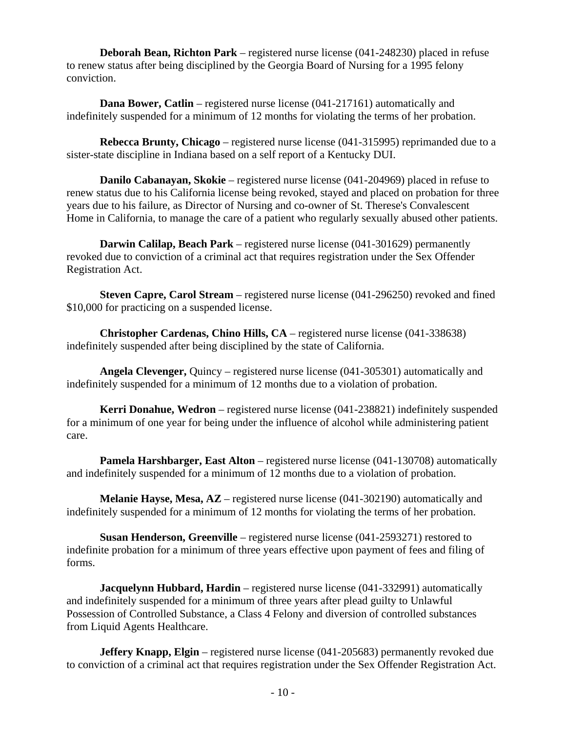**Deborah Bean, Richton Park** – registered nurse license (041-248230) placed in refuse to renew status after being disciplined by the Georgia Board of Nursing for a 1995 felony conviction.

**Dana Bower, Catlin** – registered nurse license (041-217161) automatically and indefinitely suspended for a minimum of 12 months for violating the terms of her probation.

 **Rebecca Brunty, Chicago** – registered nurse license (041-315995) reprimanded due to a sister-state discipline in Indiana based on a self report of a Kentucky DUI.

 **Danilo Cabanayan, Skokie** – registered nurse license (041-204969) placed in refuse to renew status due to his California license being revoked, stayed and placed on probation for three years due to his failure, as Director of Nursing and co-owner of St. Therese's Convalescent Home in California, to manage the care of a patient who regularly sexually abused other patients.

 **Darwin Calilap, Beach Park** – registered nurse license (041-301629) permanently revoked due to conviction of a criminal act that requires registration under the Sex Offender Registration Act.

 **Steven Capre, Carol Stream** – registered nurse license (041-296250) revoked and fined \$10,000 for practicing on a suspended license.

 **Christopher Cardenas, Chino Hills, CA** – registered nurse license (041-338638) indefinitely suspended after being disciplined by the state of California.

 **Angela Clevenger,** Quincy – registered nurse license (041-305301) automatically and indefinitely suspended for a minimum of 12 months due to a violation of probation.

 **Kerri Donahue, Wedron** – registered nurse license (041-238821) indefinitely suspended for a minimum of one year for being under the influence of alcohol while administering patient care.

**Pamela Harshbarger, East Alton** – registered nurse license (041-130708) automatically and indefinitely suspended for a minimum of 12 months due to a violation of probation.

 **Melanie Hayse, Mesa, AZ** – registered nurse license (041-302190) automatically and indefinitely suspended for a minimum of 12 months for violating the terms of her probation.

**Susan Henderson, Greenville** – registered nurse license (041-2593271) restored to indefinite probation for a minimum of three years effective upon payment of fees and filing of forms.

**Jacquelynn Hubbard, Hardin** – registered nurse license (041-332991) automatically and indefinitely suspended for a minimum of three years after plead guilty to Unlawful Possession of Controlled Substance, a Class 4 Felony and diversion of controlled substances from Liquid Agents Healthcare.

**Jeffery Knapp, Elgin** – registered nurse license (041-205683) permanently revoked due to conviction of a criminal act that requires registration under the Sex Offender Registration Act.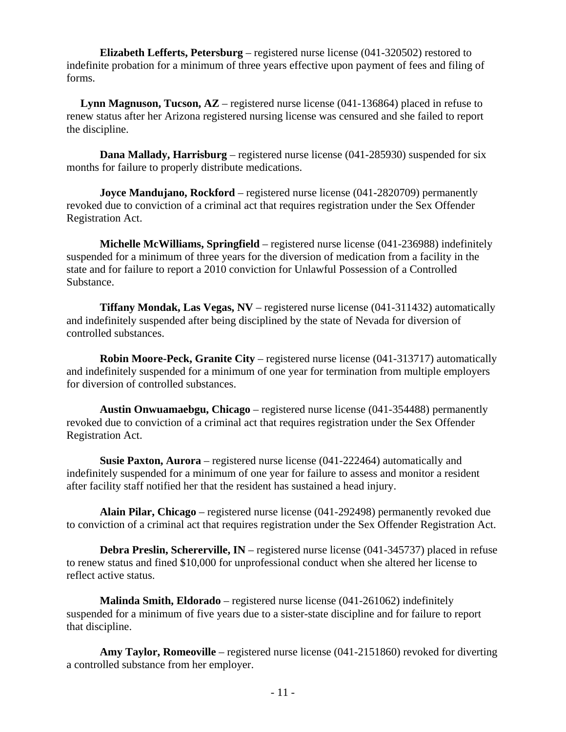**Elizabeth Lefferts, Petersburg** – registered nurse license (041-320502) restored to indefinite probation for a minimum of three years effective upon payment of fees and filing of forms.

**Lynn Magnuson, Tucson, AZ** – registered nurse license (041-136864) placed in refuse to renew status after her Arizona registered nursing license was censured and she failed to report the discipline.

**Dana Mallady, Harrisburg** – registered nurse license (041-285930) suspended for six months for failure to properly distribute medications.

**Joyce Mandujano, Rockford** – registered nurse license (041-2820709) permanently revoked due to conviction of a criminal act that requires registration under the Sex Offender Registration Act.

 **Michelle McWilliams, Springfield** – registered nurse license (041-236988) indefinitely suspended for a minimum of three years for the diversion of medication from a facility in the state and for failure to report a 2010 conviction for Unlawful Possession of a Controlled Substance.

 **Tiffany Mondak, Las Vegas, NV** – registered nurse license (041-311432) automatically and indefinitely suspended after being disciplined by the state of Nevada for diversion of controlled substances.

 **Robin Moore-Peck, Granite City** – registered nurse license (041-313717) automatically and indefinitely suspended for a minimum of one year for termination from multiple employers for diversion of controlled substances.

 **Austin Onwuamaebgu, Chicago** – registered nurse license (041-354488) permanently revoked due to conviction of a criminal act that requires registration under the Sex Offender Registration Act.

 **Susie Paxton, Aurora** – registered nurse license (041-222464) automatically and indefinitely suspended for a minimum of one year for failure to assess and monitor a resident after facility staff notified her that the resident has sustained a head injury.

 **Alain Pilar, Chicago** – registered nurse license (041-292498) permanently revoked due to conviction of a criminal act that requires registration under the Sex Offender Registration Act.

 **Debra Preslin, Schererville, IN** – registered nurse license (041-345737) placed in refuse to renew status and fined \$10,000 for unprofessional conduct when she altered her license to reflect active status.

 **Malinda Smith, Eldorado** – registered nurse license (041-261062) indefinitely suspended for a minimum of five years due to a sister-state discipline and for failure to report that discipline.

 **Amy Taylor, Romeoville** – registered nurse license (041-2151860) revoked for diverting a controlled substance from her employer.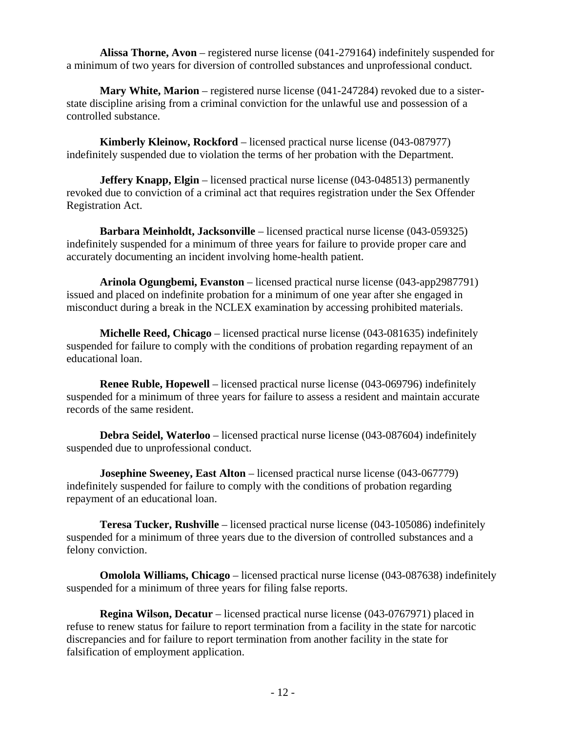**Alissa Thorne, Avon** – registered nurse license (041-279164) indefinitely suspended for a minimum of two years for diversion of controlled substances and unprofessional conduct.

 **Mary White, Marion** – registered nurse license (041-247284) revoked due to a sisterstate discipline arising from a criminal conviction for the unlawful use and possession of a controlled substance.

 **Kimberly Kleinow, Rockford** – licensed practical nurse license (043-087977) indefinitely suspended due to violation the terms of her probation with the Department.

**Jeffery Knapp, Elgin** – licensed practical nurse license (043-048513) permanently revoked due to conviction of a criminal act that requires registration under the Sex Offender Registration Act.

 **Barbara Meinholdt, Jacksonville** – licensed practical nurse license (043-059325) indefinitely suspended for a minimum of three years for failure to provide proper care and accurately documenting an incident involving home-health patient.

 **Arinola Ogungbemi, Evanston** – licensed practical nurse license (043-app2987791) issued and placed on indefinite probation for a minimum of one year after she engaged in misconduct during a break in the NCLEX examination by accessing prohibited materials.

 **Michelle Reed, Chicago** – licensed practical nurse license (043-081635) indefinitely suspended for failure to comply with the conditions of probation regarding repayment of an educational loan.

**Renee Ruble, Hopewell** – licensed practical nurse license (043-069796) indefinitely suspended for a minimum of three years for failure to assess a resident and maintain accurate records of the same resident.

 **Debra Seidel, Waterloo** – licensed practical nurse license (043-087604) indefinitely suspended due to unprofessional conduct.

**Josephine Sweeney, East Alton** – licensed practical nurse license (043-067779) indefinitely suspended for failure to comply with the conditions of probation regarding repayment of an educational loan.

 **Teresa Tucker, Rushville** – licensed practical nurse license (043-105086) indefinitely suspended for a minimum of three years due to the diversion of controlled substances and a felony conviction.

 **Omolola Williams, Chicago** – licensed practical nurse license (043-087638) indefinitely suspended for a minimum of three years for filing false reports.

 **Regina Wilson, Decatur** – licensed practical nurse license (043-0767971) placed in refuse to renew status for failure to report termination from a facility in the state for narcotic discrepancies and for failure to report termination from another facility in the state for falsification of employment application.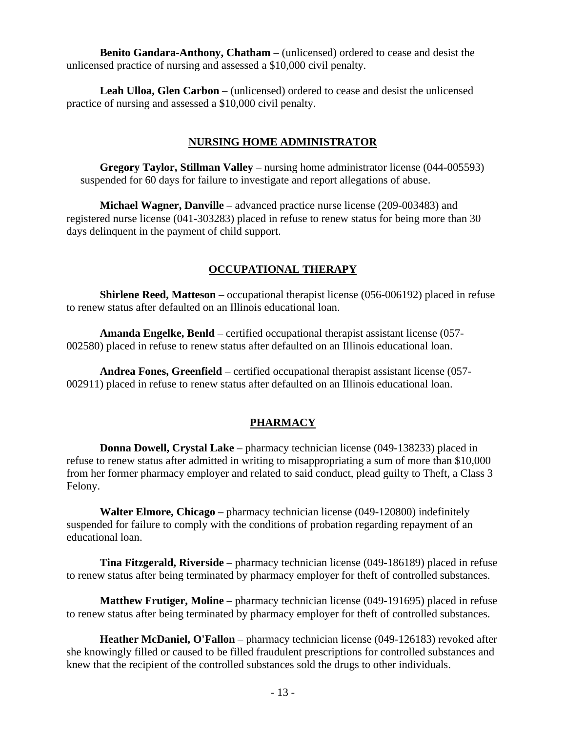**Benito Gandara-Anthony, Chatham** – (unlicensed) ordered to cease and desist the unlicensed practice of nursing and assessed a \$10,000 civil penalty.

 **Leah Ulloa, Glen Carbon** – (unlicensed) ordered to cease and desist the unlicensed practice of nursing and assessed a \$10,000 civil penalty.

## **NURSING HOME ADMINISTRATOR**

 **Gregory Taylor, Stillman Valley** – nursing home administrator license (044-005593) suspended for 60 days for failure to investigate and report allegations of abuse.

 **Michael Wagner, Danville** – advanced practice nurse license (209-003483) and registered nurse license (041-303283) placed in refuse to renew status for being more than 30 days delinquent in the payment of child support.

# **OCCUPATIONAL THERAPY**

 **Shirlene Reed, Matteson** – occupational therapist license (056-006192) placed in refuse to renew status after defaulted on an Illinois educational loan.

 **Amanda Engelke, Benld** – certified occupational therapist assistant license (057- 002580) placed in refuse to renew status after defaulted on an Illinois educational loan.

 **Andrea Fones, Greenfield** – certified occupational therapist assistant license (057- 002911) placed in refuse to renew status after defaulted on an Illinois educational loan.

# **PHARMACY**

 **Donna Dowell, Crystal Lake** – pharmacy technician license (049-138233) placed in refuse to renew status after admitted in writing to misappropriating a sum of more than \$10,000 from her former pharmacy employer and related to said conduct, plead guilty to Theft, a Class 3 Felony.

 **Walter Elmore, Chicago** – pharmacy technician license (049-120800) indefinitely suspended for failure to comply with the conditions of probation regarding repayment of an educational loan.

 **Tina Fitzgerald, Riverside** – pharmacy technician license (049-186189) placed in refuse to renew status after being terminated by pharmacy employer for theft of controlled substances.

 **Matthew Frutiger, Moline** – pharmacy technician license (049-191695) placed in refuse to renew status after being terminated by pharmacy employer for theft of controlled substances.

 **Heather McDaniel, O'Fallon** – pharmacy technician license (049-126183) revoked after she knowingly filled or caused to be filled fraudulent prescriptions for controlled substances and knew that the recipient of the controlled substances sold the drugs to other individuals.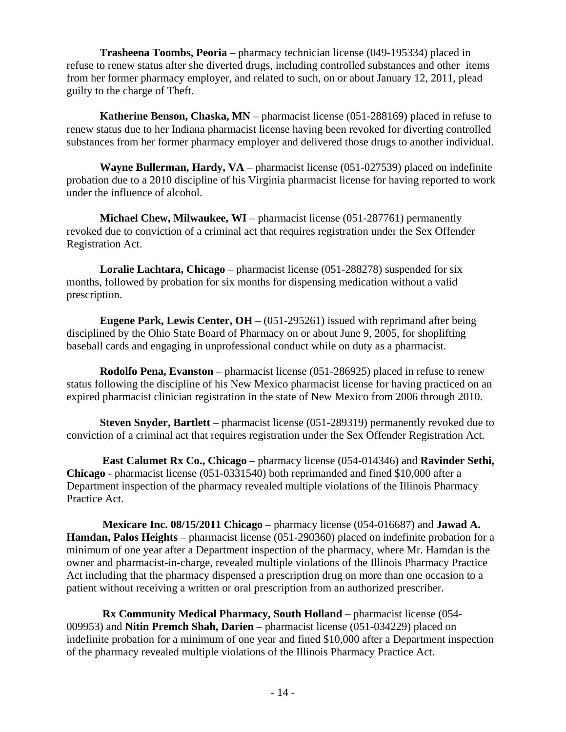**Trasheena Toombs, Peoria** – pharmacy technician license (049-195334) placed in refuse to renew status after she diverted drugs, including controlled substances and other items from her former pharmacy employer, and related to such, on or about January 12, 2011, plead guilty to the charge of Theft.

 **Katherine Benson, Chaska, MN** – pharmacist license (051-288169) placed in refuse to renew status due to her Indiana pharmacist license having been revoked for diverting controlled substances from her former pharmacy employer and delivered those drugs to another individual.

 **Wayne Bullerman, Hardy, VA** – pharmacist license (051-027539) placed on indefinite probation due to a 2010 discipline of his Virginia pharmacist license for having reported to work under the influence of alcohol.

 **Michael Chew, Milwaukee, WI** – pharmacist license (051-287761) permanently revoked due to conviction of a criminal act that requires registration under the Sex Offender Registration Act.

 **Loralie Lachtara, Chicago** – pharmacist license (051-288278) suspended for six months, followed by probation for six months for dispensing medication without a valid prescription.

**Eugene Park, Lewis Center, OH** – (051-295261) issued with reprimand after being disciplined by the Ohio State Board of Pharmacy on or about June 9, 2005, for shoplifting baseball cards and engaging in unprofessional conduct while on duty as a pharmacist.

 **Rodolfo Pena, Evanston** – pharmacist license (051-286925) placed in refuse to renew status following the discipline of his New Mexico pharmacist license for having practiced on an expired pharmacist clinician registration in the state of New Mexico from 2006 through 2010.

 **Steven Snyder, Bartlett** – pharmacist license (051-289319) permanently revoked due to conviction of a criminal act that requires registration under the Sex Offender Registration Act.

 **East Calumet Rx Co., Chicago** – pharmacy license (054-014346) and **Ravinder Sethi, Chicago** - pharmacist license (051-0331540) both reprimanded and fined \$10,000 after a Department inspection of the pharmacy revealed multiple violations of the Illinois Pharmacy Practice Act.

 **Mexicare Inc. 08/15/2011 Chicago** – pharmacy license (054-016687) and **Jawad A. Hamdan, Palos Heights** – pharmacist license (051-290360) placed on indefinite probation for a minimum of one year after a Department inspection of the pharmacy, where Mr. Hamdan is the owner and pharmacist-in-charge, revealed multiple violations of the Illinois Pharmacy Practice Act including that the pharmacy dispensed a prescription drug on more than one occasion to a patient without receiving a written or oral prescription from an authorized prescriber.

 **Rx Community Medical Pharmacy, South Holland** – pharmacist license (054- 009953) and **Nitin Premch Shah, Darien** – pharmacist license (051-034229) placed on indefinite probation for a minimum of one year and fined \$10,000 after a Department inspection of the pharmacy revealed multiple violations of the Illinois Pharmacy Practice Act.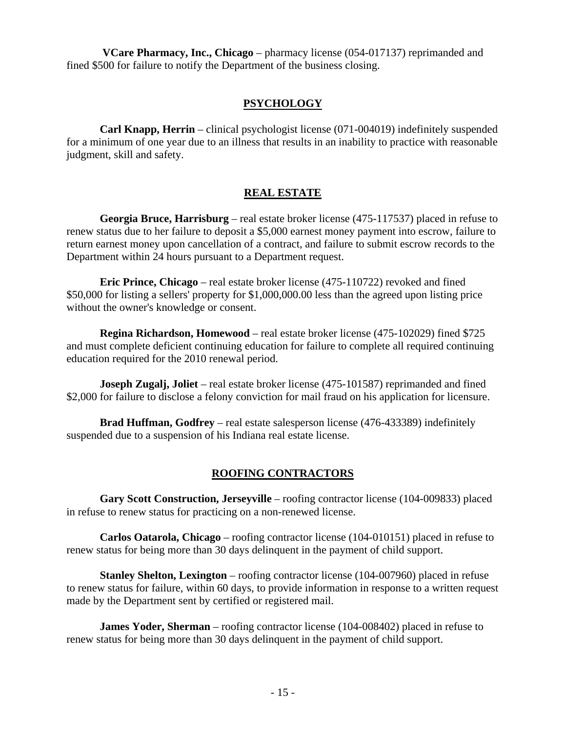**VCare Pharmacy, Inc., Chicago** – pharmacy license (054-017137) reprimanded and fined \$500 for failure to notify the Department of the business closing.

## **PSYCHOLOGY**

 **Carl Knapp, Herrin** – clinical psychologist license (071-004019) indefinitely suspended for a minimum of one year due to an illness that results in an inability to practice with reasonable judgment, skill and safety.

## **REAL ESTATE**

 **Georgia Bruce, Harrisburg** – real estate broker license (475-117537) placed in refuse to renew status due to her failure to deposit a \$5,000 earnest money payment into escrow, failure to return earnest money upon cancellation of a contract, and failure to submit escrow records to the Department within 24 hours pursuant to a Department request.

 **Eric Prince, Chicago** – real estate broker license (475-110722) revoked and fined \$50,000 for listing a sellers' property for \$1,000,000.00 less than the agreed upon listing price without the owner's knowledge or consent.

 **Regina Richardson, Homewood** – real estate broker license (475-102029) fined \$725 and must complete deficient continuing education for failure to complete all required continuing education required for the 2010 renewal period.

**Joseph Zugalj, Joliet** – real estate broker license (475-101587) reprimanded and fined \$2,000 for failure to disclose a felony conviction for mail fraud on his application for licensure.

 **Brad Huffman, Godfrey** – real estate salesperson license (476-433389) indefinitely suspended due to a suspension of his Indiana real estate license.

## **ROOFING CONTRACTORS**

 **Gary Scott Construction, Jerseyville** – roofing contractor license (104-009833) placed in refuse to renew status for practicing on a non-renewed license.

 **Carlos Oatarola, Chicago** – roofing contractor license (104-010151) placed in refuse to renew status for being more than 30 days delinquent in the payment of child support.

 **Stanley Shelton, Lexington** – roofing contractor license (104-007960) placed in refuse to renew status for failure, within 60 days, to provide information in response to a written request made by the Department sent by certified or registered mail.

**James Yoder, Sherman** – roofing contractor license (104-008402) placed in refuse to renew status for being more than 30 days delinquent in the payment of child support.